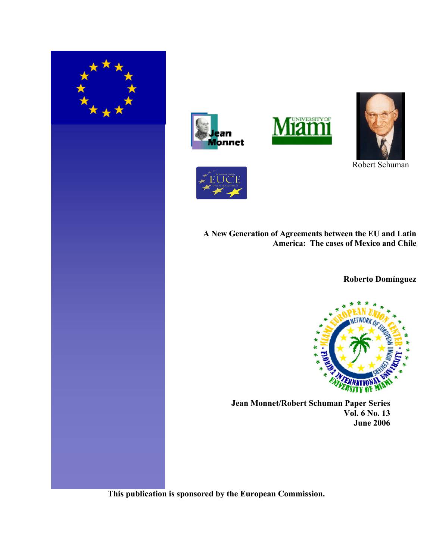







Robert Schuman



**A New Generation of Agreements between the EU and Latin America: The cases of Mexico and Chile**

**Roberto Domínguez**



 **Jean Monnet/Robert Schuman Paper Series Vol. 6 No. 13 June 2006**

**This publication is sponsored by the European Commission.**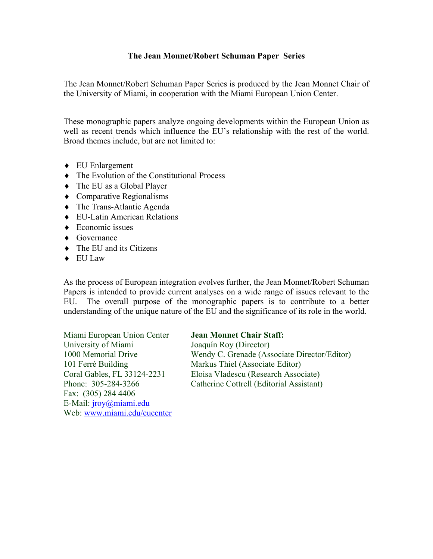## **The Jean Monnet/Robert Schuman Paper Series**

The Jean Monnet/Robert Schuman Paper Series is produced by the Jean Monnet Chair of the University of Miami, in cooperation with the Miami European Union Center.

These monographic papers analyze ongoing developments within the European Union as well as recent trends which influence the EU's relationship with the rest of the world. Broad themes include, but are not limited to:

- ♦ EU Enlargement
- ♦ The Evolution of the Constitutional Process
- ♦ The EU as a Global Player
- ♦ Comparative Regionalisms
- ♦ The Trans-Atlantic Agenda
- ♦ EU-Latin American Relations
- $\triangle$  Economic issues
- ♦ Governance
- $\triangleleft$  The EU and its Citizens
- ♦ EU Law

As the process of European integration evolves further, the Jean Monnet/Robert Schuman Papers is intended to provide current analyses on a wide range of issues relevant to the EU. The overall purpose of the monographic papers is to contribute to a better understanding of the unique nature of the EU and the significance of its role in the world.

Miami European Union Center **Jean Monnet Chair Staff:**  University of Miami Joaquín Roy (Director) 101 Ferré Building Markus Thiel (Associate Editor) Fax: (305) 284 4406 E-Mail: *jroy@miami.edu* Web: www.miami.edu/eucenter

1000 Memorial Drive Wendy C. Grenade (Associate Director/Editor) Coral Gables, FL 33124-2231 Eloisa Vladescu (Research Associate) Phone: 305-284-3266 Catherine Cottrell (Editorial Assistant)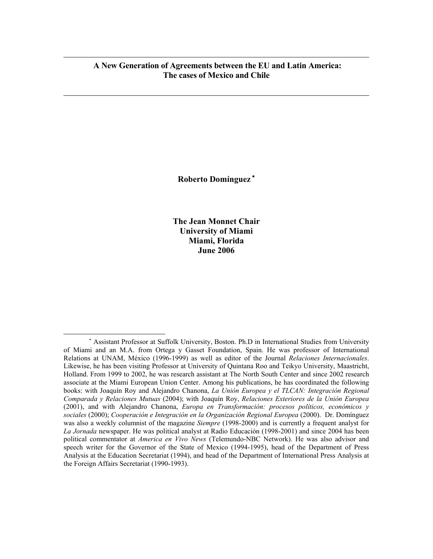# **A New Generation of Agreements between the EU and Latin America: The cases of Mexico and Chile**

 $\overline{a}$ 

 $\overline{a}$ 

**Roberto Domínguez** <sup>∗</sup>

**The Jean Monnet Chair University of Miami Miami, Florida June 2006**

<sup>∗</sup> Assistant Professor at Suffolk University, Boston. Ph.D in International Studies from University of Miami and an M.A. from Ortega y Gasset Foundation, Spain. He was professor of International Relations at UNAM, México (1996-1999) as well as editor of the Journal *Relaciones Internacionales*. Likewise, he has been visiting Professor at University of Quintana Roo and Teikyo University, Maastricht, Holland. From 1999 to 2002, he was research assistant at The North South Center and since 2002 research associate at the Miami European Union Center. Among his publications, he has coordinated the following books: with Joaquín Roy and Alejandro Chanona, *La Unión Europea y el TLCAN: Integración Regional Comparada y Relaciones Mutuas* (2004); with Joaquín Roy, *Relaciones Exteriores de la Unión Europea*  (2001), and with Alejandro Chanona, *Europa en Transformación: procesos políticos, económicos y sociales* (2000); *Cooperación e Integración en la Organización Regional Europea* (2000). Dr. Domínguez was also a weekly columnist of the magazine *Siempre* (1998-2000) and is currently a frequent analyst for *La Jornada* newspaper. He was political analyst at Radio Educación (1998-2001) and since 2004 has been political commentator at *America en Vivo News* (Telemundo-NBC Network). He was also advisor and speech writer for the Governor of the State of Mexico (1994-1995), head of the Department of Press Analysis at the Education Secretariat (1994), and head of the Department of International Press Analysis at the Foreign Affairs Secretariat (1990-1993).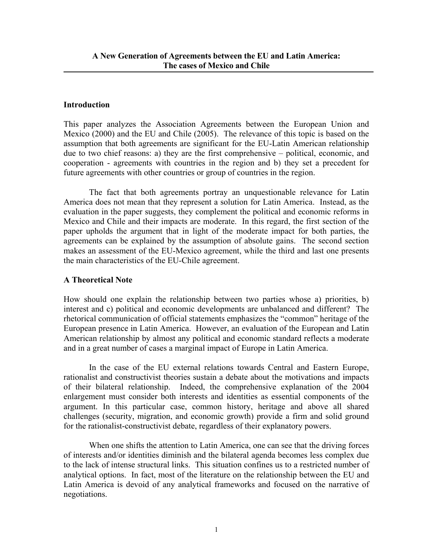# **Introduction**

This paper analyzes the Association Agreements between the European Union and Mexico (2000) and the EU and Chile (2005). The relevance of this topic is based on the assumption that both agreements are significant for the EU-Latin American relationship due to two chief reasons: a) they are the first comprehensive – political, economic, and cooperation - agreements with countries in the region and b) they set a precedent for future agreements with other countries or group of countries in the region.

The fact that both agreements portray an unquestionable relevance for Latin America does not mean that they represent a solution for Latin America. Instead, as the evaluation in the paper suggests, they complement the political and economic reforms in Mexico and Chile and their impacts are moderate. In this regard, the first section of the paper upholds the argument that in light of the moderate impact for both parties, the agreements can be explained by the assumption of absolute gains. The second section makes an assessment of the EU-Mexico agreement, while the third and last one presents the main characteristics of the EU-Chile agreement.

# **A Theoretical Note**

How should one explain the relationship between two parties whose a) priorities, b) interest and c) political and economic developments are unbalanced and different? The rhetorical communication of official statements emphasizes the "common" heritage of the European presence in Latin America. However, an evaluation of the European and Latin American relationship by almost any political and economic standard reflects a moderate and in a great number of cases a marginal impact of Europe in Latin America.

 In the case of the EU external relations towards Central and Eastern Europe, rationalist and constructivist theories sustain a debate about the motivations and impacts of their bilateral relationship. Indeed, the comprehensive explanation of the 2004 enlargement must consider both interests and identities as essential components of the argument. In this particular case, common history, heritage and above all shared challenges (security, migration, and economic growth) provide a firm and solid ground for the rationalist-constructivist debate, regardless of their explanatory powers.

 When one shifts the attention to Latin America, one can see that the driving forces of interests and/or identities diminish and the bilateral agenda becomes less complex due to the lack of intense structural links. This situation confines us to a restricted number of analytical options. In fact, most of the literature on the relationship between the EU and Latin America is devoid of any analytical frameworks and focused on the narrative of negotiations.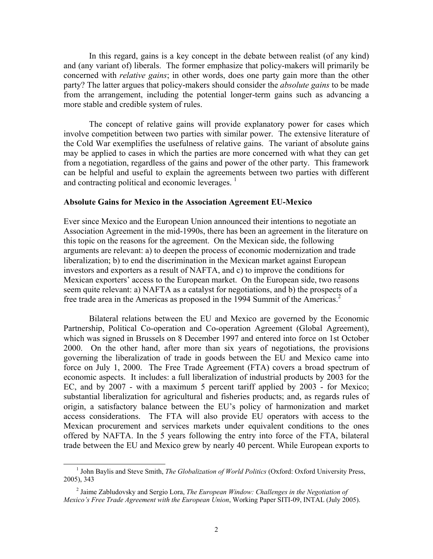In this regard, gains is a key concept in the debate between realist (of any kind) and (any variant of) liberals. The former emphasize that policy-makers will primarily be concerned with *relative gains*; in other words, does one party gain more than the other party? The latter argues that policy-makers should consider the *absolute gains* to be made from the arrangement, including the potential longer-term gains such as advancing a more stable and credible system of rules.

The concept of relative gains will provide explanatory power for cases which involve competition between two parties with similar power. The extensive literature of the Cold War exemplifies the usefulness of relative gains. The variant of absolute gains may be applied to cases in which the parties are more concerned with what they can get from a negotiation, regardless of the gains and power of the other party. This framework can be helpful and useful to explain the agreements between two parties with different and contracting political and economic leverages.  $\frac{1}{1}$ 

## **Absolute Gains for Mexico in the Association Agreement EU-Mexico**

Ever since Mexico and the European Union announced their intentions to negotiate an Association Agreement in the mid-1990s, there has been an agreement in the literature on this topic on the reasons for the agreement. On the Mexican side, the following arguments are relevant: a) to deepen the process of economic modernization and trade liberalization; b) to end the discrimination in the Mexican market against European investors and exporters as a result of NAFTA, and c) to improve the conditions for Mexican exporters' access to the European market. On the European side, two reasons seem quite relevant: a) NAFTA as a catalyst for negotiations, and b) the prospects of a free trade area in the Americas as proposed in the 1994 Summit of the Americas.<sup>2</sup>

Bilateral relations between the EU and Mexico are governed by the Economic Partnership, Political Co-operation and Co-operation Agreement (Global Agreement), which was signed in Brussels on 8 December 1997 and entered into force on 1st October 2000. On the other hand, after more than six years of negotiations, the provisions governing the liberalization of trade in goods between the EU and Mexico came into force on July 1, 2000. The Free Trade Agreement (FTA) covers a broad spectrum of economic aspects. It includes: a full liberalization of industrial products by 2003 for the EC, and by 2007 - with a maximum 5 percent tariff applied by 2003 - for Mexico; substantial liberalization for agricultural and fisheries products; and, as regards rules of origin, a satisfactory balance between the EU's policy of harmonization and market access considerations. The FTA will also provide EU operators with access to the Mexican procurement and services markets under equivalent conditions to the ones offered by NAFTA. In the 5 years following the entry into force of the FTA, bilateral trade between the EU and Mexico grew by nearly 40 percent. While European exports to

 <sup>1</sup> <sup>1</sup> John Baylis and Steve Smith, *The Globalization of World Politics* (Oxford: Oxford University Press, 2005), 343

<sup>2</sup> Jaime Zabludovsky and Sergio Lora, *The European Window: Challenges in the Negotiation of Mexico's Free Trade Agreement with the European Union*, Working Paper SITI-09, INTAL (July 2005).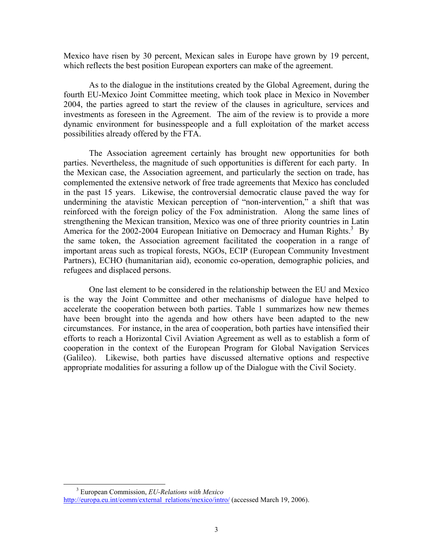Mexico have risen by 30 percent, Mexican sales in Europe have grown by 19 percent, which reflects the best position European exporters can make of the agreement.

As to the dialogue in the institutions created by the Global Agreement, during the fourth EU-Mexico Joint Committee meeting, which took place in Mexico in November 2004, the parties agreed to start the review of the clauses in agriculture, services and investments as foreseen in the Agreement. The aim of the review is to provide a more dynamic environment for businesspeople and a full exploitation of the market access possibilities already offered by the FTA.

The Association agreement certainly has brought new opportunities for both parties. Nevertheless, the magnitude of such opportunities is different for each party. In the Mexican case, the Association agreement, and particularly the section on trade, has complemented the extensive network of free trade agreements that Mexico has concluded in the past 15 years. Likewise, the controversial democratic clause paved the way for undermining the atavistic Mexican perception of "non-intervention," a shift that was reinforced with the foreign policy of the Fox administration. Along the same lines of strengthening the Mexican transition, Mexico was one of three priority countries in Latin America for the 2002-2004 European Initiative on Democracy and Human Rights.<sup>3</sup> By the same token, the Association agreement facilitated the cooperation in a range of important areas such as tropical forests, NGOs, ECIP (European Community Investment Partners), ECHO (humanitarian aid), economic co-operation, demographic policies, and refugees and displaced persons.

One last element to be considered in the relationship between the EU and Mexico is the way the Joint Committee and other mechanisms of dialogue have helped to accelerate the cooperation between both parties. Table 1 summarizes how new themes have been brought into the agenda and how others have been adapted to the new circumstances. For instance, in the area of cooperation, both parties have intensified their efforts to reach a Horizontal Civil Aviation Agreement as well as to establish a form of cooperation in the context of the European Program for Global Navigation Services (Galileo). Likewise, both parties have discussed alternative options and respective appropriate modalities for assuring a follow up of the Dialogue with the Civil Society.

 <sup>3</sup> European Commission, *EU-Relations with Mexico* http://europa.eu.int/comm/external\_relations/mexico/intro/ (accessed March 19, 2006).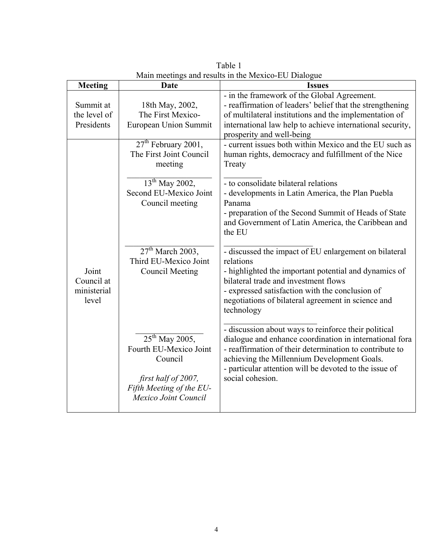| <b>Meeting</b>       | Date                     | <b>Issues</b>                                              |
|----------------------|--------------------------|------------------------------------------------------------|
|                      |                          | - in the framework of the Global Agreement.                |
| Summit at            | 18th May, 2002,          | - reaffirmation of leaders' belief that the strengthening  |
| the level of         | The First Mexico-        | of multilateral institutions and the implementation of     |
| Presidents           | European Union Summit    | international law help to achieve international security,  |
|                      |                          | prosperity and well-being                                  |
|                      | $27th$ February 2001,    | - current issues both within Mexico and the EU such as     |
|                      | The First Joint Council  | human rights, democracy and fulfillment of the Nice        |
|                      | meeting                  | Treaty                                                     |
|                      | $13^{th}$ May 2002,      |                                                            |
|                      | Second EU-Mexico Joint   | - to consolidate bilateral relations                       |
|                      | Council meeting          | - developments in Latin America, the Plan Puebla<br>Panama |
|                      |                          | - preparation of the Second Summit of Heads of State       |
|                      |                          | and Government of Latin America, the Caribbean and         |
|                      |                          | the EU                                                     |
|                      |                          |                                                            |
|                      | $27th$ March 2003,       | - discussed the impact of EU enlargement on bilateral      |
|                      | Third EU-Mexico Joint    | relations                                                  |
| Joint                | <b>Council Meeting</b>   | - highlighted the important potential and dynamics of      |
| Council at           |                          | bilateral trade and investment flows                       |
| ministerial<br>level |                          | - expressed satisfaction with the conclusion of            |
|                      |                          | negotiations of bilateral agreement in science and         |
|                      |                          | technology                                                 |
|                      |                          | - discussion about ways to reinforce their political       |
|                      | $25^{th}$ May 2005,      | dialogue and enhance coordination in international fora    |
|                      | Fourth EU-Mexico Joint   | - reaffirmation of their determination to contribute to    |
|                      | Council                  | achieving the Millennium Development Goals.                |
|                      |                          | - particular attention will be devoted to the issue of     |
|                      | first half of 2007,      | social cohesion.                                           |
|                      | Fifth Meeting of the EU- |                                                            |
|                      | Mexico Joint Council     |                                                            |
|                      |                          |                                                            |

Table 1 Main meetings and results in the Mexico-EU Dialogue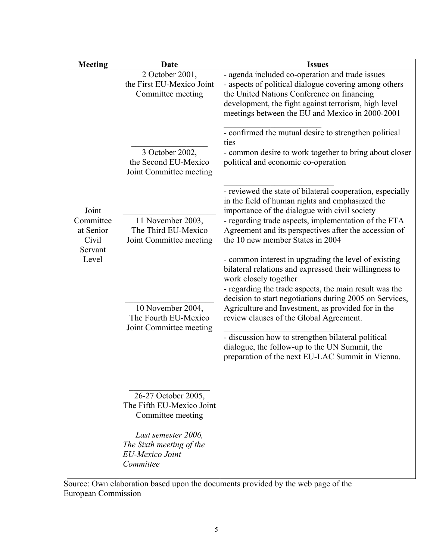| <b>Meeting</b>                                               | Date                                                                                                                                                            | <b>Issues</b>                                                                                                                                                                                                                                                                                                                                                                                                                                                                                                            |
|--------------------------------------------------------------|-----------------------------------------------------------------------------------------------------------------------------------------------------------------|--------------------------------------------------------------------------------------------------------------------------------------------------------------------------------------------------------------------------------------------------------------------------------------------------------------------------------------------------------------------------------------------------------------------------------------------------------------------------------------------------------------------------|
| Joint<br>Committee<br>at Senior<br>Civil<br>Servant<br>Level | 2 October 2001,<br>the First EU-Mexico Joint<br>Committee meeting<br>3 October 2002,<br>the Second EU-Mexico<br>Joint Committee meeting                         | - agenda included co-operation and trade issues<br>- aspects of political dialogue covering among others<br>the United Nations Conference on financing<br>development, the fight against terrorism, high level<br>meetings between the EU and Mexico in 2000-2001<br>- confirmed the mutual desire to strengthen political<br>ties<br>- common desire to work together to bring about closer<br>political and economic co-operation                                                                                      |
|                                                              | 11 November 2003,<br>The Third EU-Mexico<br>Joint Committee meeting                                                                                             | - reviewed the state of bilateral cooperation, especially<br>in the field of human rights and emphasized the<br>importance of the dialogue with civil society<br>- regarding trade aspects, implementation of the FTA<br>Agreement and its perspectives after the accession of<br>the 10 new member States in 2004                                                                                                                                                                                                       |
|                                                              | 10 November 2004,<br>The Fourth EU-Mexico<br>Joint Committee meeting                                                                                            | - common interest in upgrading the level of existing<br>bilateral relations and expressed their willingness to<br>work closely together<br>- regarding the trade aspects, the main result was the<br>decision to start negotiations during 2005 on Services,<br>Agriculture and Investment, as provided for in the<br>review clauses of the Global Agreement.<br>- discussion how to strengthen bilateral political<br>dialogue, the follow-up to the UN Summit, the<br>preparation of the next EU-LAC Summit in Vienna. |
|                                                              | 26-27 October 2005,<br>The Fifth EU-Mexico Joint<br>Committee meeting<br>Last semester 2006.<br>The Sixth meeting of the<br><b>EU-Mexico Joint</b><br>Committee |                                                                                                                                                                                                                                                                                                                                                                                                                                                                                                                          |

Source: Own elaboration based upon the documents provided by the web page of the European Commission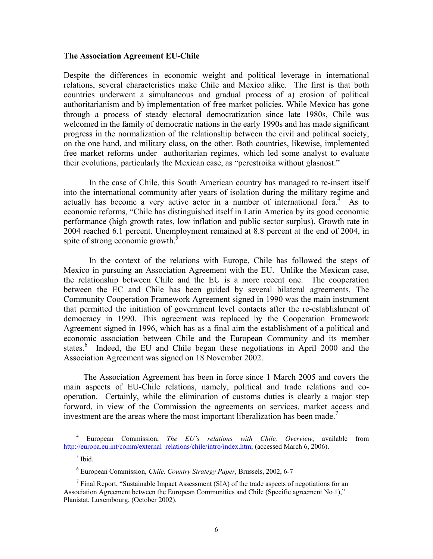## **The Association Agreement EU-Chile**

Despite the differences in economic weight and political leverage in international relations, several characteristics make Chile and Mexico alike. The first is that both countries underwent a simultaneous and gradual process of a) erosion of political authoritarianism and b) implementation of free market policies. While Mexico has gone through a process of steady electoral democratization since late 1980s, Chile was welcomed in the family of democratic nations in the early 1990s and has made significant progress in the normalization of the relationship between the civil and political society, on the one hand, and military class, on the other. Both countries, likewise, implemented free market reforms under authoritarian regimes, which led some analyst to evaluate their evolutions, particularly the Mexican case, as "perestroika without glasnost."

 In the case of Chile, this South American country has managed to re-insert itself into the international community after years of isolation during the military regime and actually has become a very active actor in a number of international fora.<sup>4</sup> As to economic reforms, "Chile has distinguished itself in Latin America by its good economic performance (high growth rates, low inflation and public sector surplus). Growth rate in 2004 reached 6.1 percent. Unemployment remained at 8.8 percent at the end of 2004, in spite of strong economic growth.<sup>5</sup>

 In the context of the relations with Europe, Chile has followed the steps of Mexico in pursuing an Association Agreement with the EU. Unlike the Mexican case, the relationship between Chile and the EU is a more recent one. The cooperation between the EC and Chile has been guided by several bilateral agreements. The Community Cooperation Framework Agreement signed in 1990 was the main instrument that permitted the initiation of government level contacts after the re-establishment of democracy in 1990. This agreement was replaced by the Cooperation Framework Agreement signed in 1996, which has as a final aim the establishment of a political and economic association between Chile and the European Community and its member states.<sup>6</sup> Indeed, the EU and Chile began these negotiations in April 2000 and the Association Agreement was signed on 18 November 2002.

 The Association Agreement has been in force since 1 March 2005 and covers the main aspects of EU-Chile relations, namely, political and trade relations and cooperation. Certainly, while the elimination of customs duties is clearly a major step forward, in view of the Commission the agreements on services, market access and investment are the areas where the most important liberalization has been made.<sup>7</sup>

 <sup>4</sup> European Commission, *The EU's relations with Chile. Overview*; available from http://europa.eu.int/comm/external\_relations/chile/intro/index.htm; (accessed March 6, 2006).

<sup>5</sup> Ibid.

<sup>6</sup> European Commission, *Chile. Country Strategy Paper*, Brussels, 2002, 6-7

<sup>&</sup>lt;sup>7</sup> Final Report, "Sustainable Impact Assessment (SIA) of the trade aspects of negotiations for an Association Agreement between the European Communities and Chile (Specific agreement No 1)," Planistat, Luxembourg, (October 2002).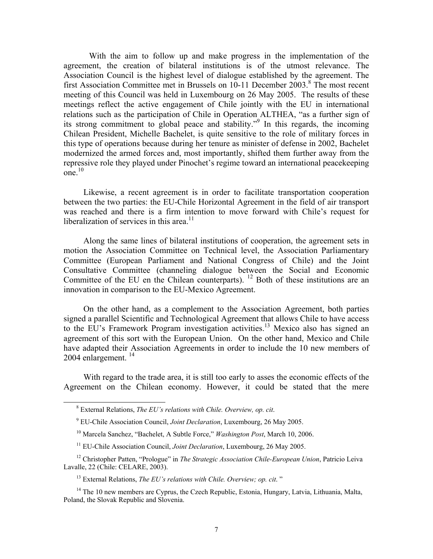With the aim to follow up and make progress in the implementation of the agreement, the creation of bilateral institutions is of the utmost relevance. The Association Council is the highest level of dialogue established by the agreement. The first Association Committee met in Brussels on 10-11 December 2003.<sup>8</sup> The most recent meeting of this Council was held in Luxembourg on 26 May 2005. The results of these meetings reflect the active engagement of Chile jointly with the EU in international relations such as the participation of Chile in Operation ALTHEA, "as a further sign of its strong commitment to global peace and stability."<sup>9</sup> In this regards, the incoming Chilean President, Michelle Bachelet, is quite sensitive to the role of military forces in this type of operations because during her tenure as minister of defense in 2002, Bachelet modernized the armed forces and, most importantly, shifted them further away from the repressive role they played under Pinochet's regime toward an international peacekeeping one. $10$ 

 Likewise, a recent agreement is in order to facilitate transportation cooperation between the two parties: the EU-Chile Horizontal Agreement in the field of air transport was reached and there is a firm intention to move forward with Chile's request for liberalization of services in this area. $11$ 

 Along the same lines of bilateral institutions of cooperation, the agreement sets in motion the Association Committee on Technical level, the Association Parliamentary Committee (European Parliament and National Congress of Chile) and the Joint Consultative Committee (channeling dialogue between the Social and Economic Committee of the EU en the Chilean counterparts).  $12$  Both of these institutions are an innovation in comparison to the EU-Mexico Agreement.

 On the other hand, as a complement to the Association Agreement, both parties signed a parallel Scientific and Technological Agreement that allows Chile to have access to the EU's Framework Program investigation activities.13 Mexico also has signed an agreement of this sort with the European Union. On the other hand, Mexico and Chile have adapted their Association Agreements in order to include the 10 new members of 2004 enlargement.  $^{14}$ 

 With regard to the trade area, it is still too early to asses the economic effects of the Agreement on the Chilean economy. However, it could be stated that the mere

 <sup>8</sup> External Relations, *The EU's relations with Chile. Overview, op. cit*.

<sup>9</sup> EU-Chile Association Council, *Joint Declaration*, Luxembourg, 26 May 2005.

<sup>10</sup> Marcela Sanchez, "Bachelet, A Subtle Force," *Washington Post*, March 10, 2006.

<sup>&</sup>lt;sup>11</sup> EU-Chile Association Council, *Joint Declaration*, Luxembourg, 26 May 2005.

<sup>12</sup> Christopher Patten, "Prologue" in *The Strategic Association Chile-European Union*, Patricio Leiva Lavalle, 22 (Chile: CELARE, 2003).

<sup>&</sup>lt;sup>13</sup> External Relations, *The EU's relations with Chile. Overview: op. cit.*"

<sup>&</sup>lt;sup>14</sup> The 10 new members are Cyprus, the Czech Republic, Estonia, Hungary, Latvia, Lithuania, Malta, Poland, the Slovak Republic and Slovenia.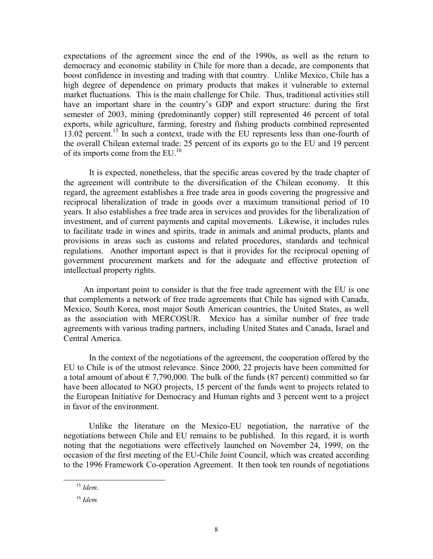expectations of the agreement since the end of the 1990s, as well as the return to democracy and economic stability in Chile for more than a decade, are components that boost confidence in investing and trading with that country. Unlike Mexico, Chile has a high degree of dependence on primary products that makes it vulnerable to external market fluctuations. This is the main challenge for Chile. Thus, traditional activities still have an important share in the country's GDP and export structure: during the first semester of 2003, mining (predominantly copper) still represented 46 percent of total exports, while agriculture, farming, forestry and fishing products combined represented 13.02 percent.15 In such a context, trade with the EU represents less than one-fourth of the overall Chilean external trade: 25 percent of its exports go to the EU and 19 percent of its imports come from the EU.<sup>16</sup>

It is expected, nonetheless, that the specific areas covered by the trade chapter of the agreement will contribute to the diversification of the Chilean economy. It this regard, the agreement establishes a free trade area in goods covering the progressive and reciprocal liberalization of trade in goods over a maximum transitional period of 10 years. It also establishes a free trade area in services and provides for the liberalization of investment, and of current payments and capital movements. Likewise, it includes rules to facilitate trade in wines and spirits, trade in animals and animal products, plants and provisions in areas such as customs and related procedures, standards and technical regulations. Another important aspect is that it provides for the reciprocal opening of government procurement markets and for the adequate and effective protection of intellectual property rights.

 An important point to consider is that the free trade agreement with the EU is one that complements a network of free trade agreements that Chile has signed with Canada, Mexico, South Korea, most major South American countries, the United States, as well as the association with MERCOSUR. Mexico has a similar number of free trade agreements with various trading partners, including United States and Canada, Israel and Central America.

In the context of the negotiations of the agreement, the cooperation offered by the EU to Chile is of the utmost relevance. Since 2000, 22 projects have been committed for a total amount of about  $\epsilon$  7,790,000. The bulk of the funds (87 percent) committed so far have been allocated to NGO projects, 15 percent of the funds went to projects related to the European Initiative for Democracy and Human rights and 3 percent went to a project in favor of the environment.

Unlike the literature on the Mexico-EU negotiation, the narrative of the negotiations between Chile and EU remains to be published. In this regard, it is worth noting that the negotiations were effectively launched on November 24, 1999, on the occasion of the first meeting of the EU-Chile Joint Council, which was created according to the 1996 Framework Co-operation Agreement. It then took ten rounds of negotiations

 <sup>15</sup> *Idem*.

<sup>16</sup> *Idem.*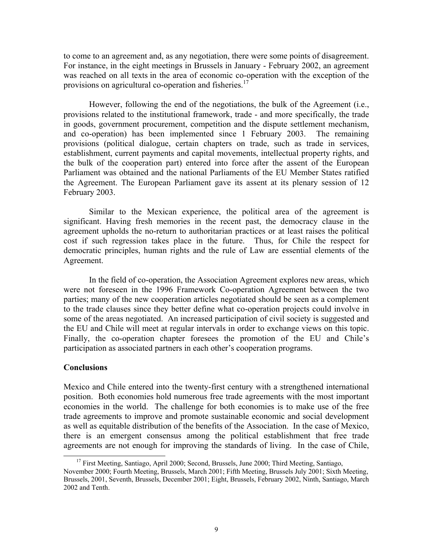to come to an agreement and, as any negotiation, there were some points of disagreement. For instance, in the eight meetings in Brussels in January - February 2002, an agreement was reached on all texts in the area of economic co-operation with the exception of the provisions on agricultural co-operation and fisheries.<sup>17</sup>

 However, following the end of the negotiations, the bulk of the Agreement (i.e., provisions related to the institutional framework, trade - and more specifically, the trade in goods, government procurement, competition and the dispute settlement mechanism, and co-operation) has been implemented since 1 February 2003. The remaining provisions (political dialogue, certain chapters on trade, such as trade in services, establishment, current payments and capital movements, intellectual property rights, and the bulk of the cooperation part) entered into force after the assent of the European Parliament was obtained and the national Parliaments of the EU Member States ratified the Agreement. The European Parliament gave its assent at its plenary session of 12 February 2003.

Similar to the Mexican experience, the political area of the agreement is significant. Having fresh memories in the recent past, the democracy clause in the agreement upholds the no-return to authoritarian practices or at least raises the political cost if such regression takes place in the future. Thus, for Chile the respect for democratic principles, human rights and the rule of Law are essential elements of the Agreement.

In the field of co-operation, the Association Agreement explores new areas, which were not foreseen in the 1996 Framework Co-operation Agreement between the two parties; many of the new cooperation articles negotiated should be seen as a complement to the trade clauses since they better define what co-operation projects could involve in some of the areas negotiated. An increased participation of civil society is suggested and the EU and Chile will meet at regular intervals in order to exchange views on this topic. Finally, the co-operation chapter foresees the promotion of the EU and Chile's participation as associated partners in each other's cooperation programs.

### **Conclusions**

Mexico and Chile entered into the twenty-first century with a strengthened international position. Both economies hold numerous free trade agreements with the most important economies in the world. The challenge for both economies is to make use of the free trade agreements to improve and promote sustainable economic and social development as well as equitable distribution of the benefits of the Association. In the case of Mexico, there is an emergent consensus among the political establishment that free trade agreements are not enough for improving the standards of living. In the case of Chile,

<sup>&</sup>lt;sup>17</sup> First Meeting, Santiago, April 2000; Second, Brussels, June 2000; Third Meeting, Santiago, November 2000; Fourth Meeting, Brussels, March 2001; Fifth Meeting, Brussels July 2001; Sixth Meeting, Brussels, 2001, Seventh, Brussels, December 2001; Eight, Brussels, February 2002, Ninth, Santiago, March 2002 and Tenth.